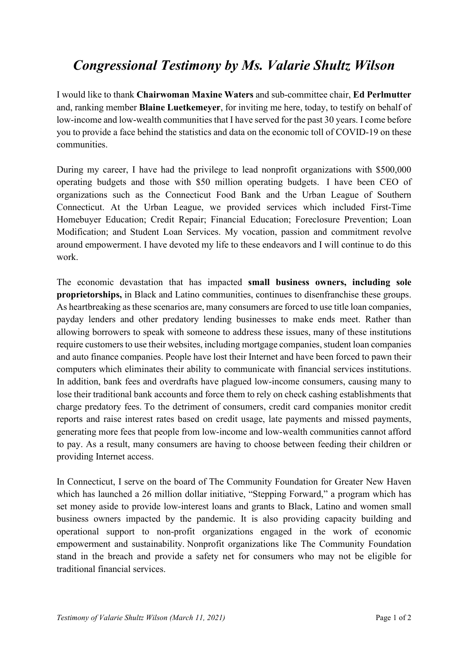## *Congressional Testimony by Ms. Valarie Shultz Wilson*

I would like to thank **Chairwoman Maxine Waters** and sub-committee chair, **Ed Perlmutter** and, ranking member **Blaine Luetkemeyer**, for inviting me here, today, to testify on behalf of low-income and low-wealth communities that I have served for the past 30 years. I come before you to provide a face behind the statistics and data on the economic toll of COVID-19 on these communities.

During my career, I have had the privilege to lead nonprofit organizations with \$500,000 operating budgets and those with \$50 million operating budgets. I have been CEO of organizations such as the Connecticut Food Bank and the Urban League of Southern Connecticut. At the Urban League, we provided services which included First-Time Homebuyer Education; Credit Repair; Financial Education; Foreclosure Prevention; Loan Modification; and Student Loan Services. My vocation, passion and commitment revolve around empowerment. I have devoted my life to these endeavors and I will continue to do this work.

The economic devastation that has impacted **small business owners, including sole proprietorships,** in Black and Latino communities, continues to disenfranchise these groups. As heartbreaking as these scenarios are, many consumers are forced to use title loan companies, payday lenders and other predatory lending businesses to make ends meet. Rather than allowing borrowers to speak with someone to address these issues, many of these institutions require customers to use their websites, including mortgage companies, student loan companies and auto finance companies. People have lost their Internet and have been forced to pawn their computers which eliminates their ability to communicate with financial services institutions. In addition, bank fees and overdrafts have plagued low-income consumers, causing many to lose their traditional bank accounts and force them to rely on check cashing establishments that charge predatory fees. To the detriment of consumers, credit card companies monitor credit reports and raise interest rates based on credit usage, late payments and missed payments, generating more fees that people from low-income and low-wealth communities cannot afford to pay. As a result, many consumers are having to choose between feeding their children or providing Internet access.

In Connecticut, I serve on the board of The Community Foundation for Greater New Haven which has launched a 26 million dollar initiative, "Stepping Forward," a program which has set money aside to provide low-interest loans and grants to Black, Latino and women small business owners impacted by the pandemic. It is also providing capacity building and operational support to non-profit organizations engaged in the work of economic empowerment and sustainability. Nonprofit organizations like The Community Foundation stand in the breach and provide a safety net for consumers who may not be eligible for traditional financial services.